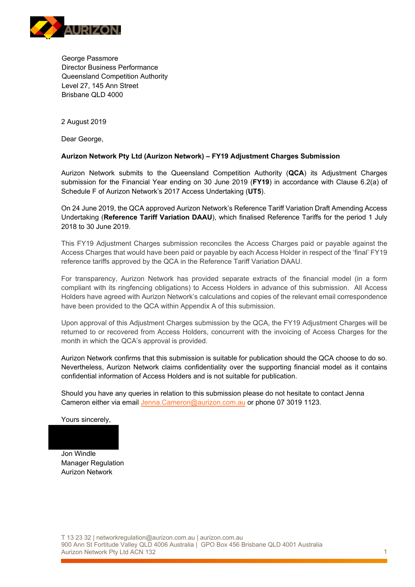

George Passmore Director Business Performance Queensland Competition Authority Level 27, 145 Ann Street Brisbane QLD 4000

2 August 2019

Dear George,

#### **Aurizon Network Pty Ltd (Aurizon Network) – FY19 Adjustment Charges Submission**

Aurizon Network submits to the Queensland Competition Authority (**QCA**) its Adjustment Charges submission for the Financial Year ending on 30 June 2019 (**FY19**) in accordance with Clause 6.2(a) of Schedule F of Aurizon Network's 2017 Access Undertaking (**UT5**).

On 24 June 2019, the QCA approved Aurizon Network's Reference Tariff Variation Draft Amending Access Undertaking (**Reference Tariff Variation DAAU**), which finalised Reference Tariffs for the period 1 July 2018 to 30 June 2019.

This FY19 Adjustment Charges submission reconciles the Access Charges paid or payable against the Access Charges that would have been paid or payable by each Access Holder in respect of the 'final' FY19 reference tariffs approved by the QCA in the Reference Tariff Variation DAAU.

For transparency, Aurizon Network has provided separate extracts of the financial model (in a form compliant with its ringfencing obligations) to Access Holders in advance of this submission. All Access Holders have agreed with Aurizon Network's calculations and copies of the relevant email correspondence have been provided to the QCA within Appendix A of this submission.

Upon approval of this Adjustment Charges submission by the QCA, the FY19 Adjustment Charges will be returned to or recovered from Access Holders, concurrent with the invoicing of Access Charges for the month in which the QCA's approval is provided.

Aurizon Network confirms that this submission is suitable for publication should the QCA choose to do so. Nevertheless, Aurizon Network claims confidentiality over the supporting financial model as it contains confidential information of Access Holders and is not suitable for publication.

Should you have any queries in relation to this submission please do not hesitate to contact Jenna Cameron either via email Jenna.Cameron@aurizon.com.au or phone 07 3019 1123.

Yours sincerely,

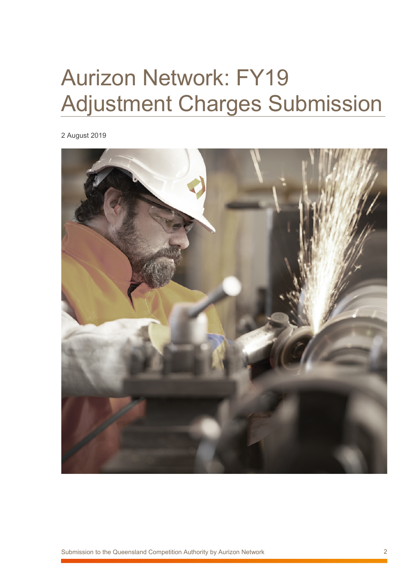# Aurizon Network: FY19 Adjustment Charges Submission

2 August 2019

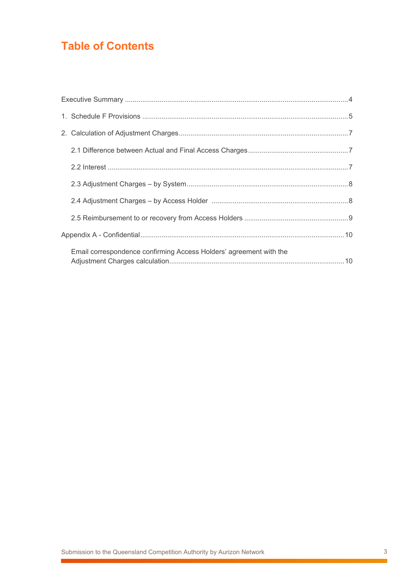# **Table of Contents**

| Email correspondence confirming Access Holders' agreement with the |  |
|--------------------------------------------------------------------|--|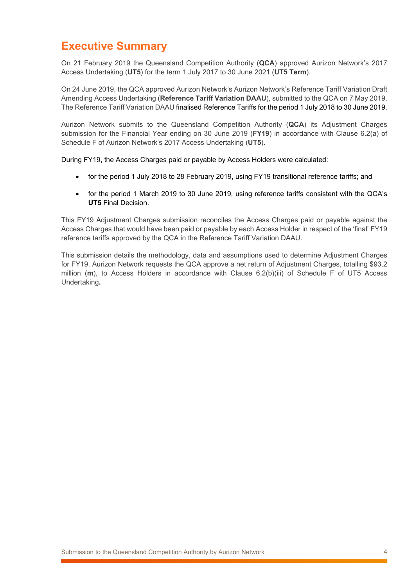## **Executive Summary**

On 21 February 2019 the Queensland Competition Authority (**QCA**) approved Aurizon Network's 2017 Access Undertaking (**UT5**) for the term 1 July 2017 to 30 June 2021 (**UT5 Term**).

On 24 June 2019, the QCA approved Aurizon Network's Aurizon Network's Reference Tariff Variation Draft Amending Access Undertaking (**Reference Tariff Variation DAAU**), submitted to the QCA on 7 May 2019. The Reference Tariff Variation DAAU finalised Reference Tariffs for the period 1 July 2018 to 30 June 2019.

Aurizon Network submits to the Queensland Competition Authority (**QCA**) its Adjustment Charges submission for the Financial Year ending on 30 June 2019 (**FY19**) in accordance with Clause 6.2(a) of Schedule F of Aurizon Network's 2017 Access Undertaking (**UT5**).

During FY19, the Access Charges paid or payable by Access Holders were calculated:

- for the period 1 July 2018 to 28 February 2019, using FY19 transitional reference tariffs; and
- for the period 1 March 2019 to 30 June 2019, using reference tariffs consistent with the QCA's **UT5** Final Decision.

This FY19 Adjustment Charges submission reconciles the Access Charges paid or payable against the Access Charges that would have been paid or payable by each Access Holder in respect of the 'final' FY19 reference tariffs approved by the QCA in the Reference Tariff Variation DAAU.

This submission details the methodology, data and assumptions used to determine Adjustment Charges for FY19. Aurizon Network requests the QCA approve a net return of Adjustment Charges, totalling \$93.2 million (**m**), to Access Holders in accordance with Clause 6.2(b)(iii) of Schedule F of UT5 Access Undertaking**.**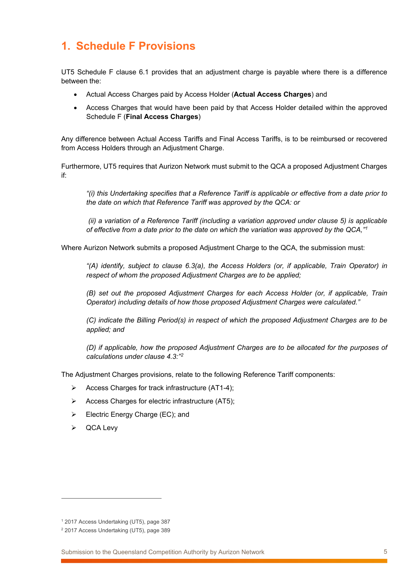## **1. Schedule F Provisions**

UT5 Schedule F clause 6.1 provides that an adjustment charge is payable where there is a difference between the:

- Actual Access Charges paid by Access Holder (**Actual Access Charges**) and
- Access Charges that would have been paid by that Access Holder detailed within the approved Schedule F (**Final Access Charges**)

Any difference between Actual Access Tariffs and Final Access Tariffs, is to be reimbursed or recovered from Access Holders through an Adjustment Charge.

Furthermore, UT5 requires that Aurizon Network must submit to the QCA a proposed Adjustment Charges if:

*"(i) this Undertaking specifies that a Reference Tariff is applicable or effective from a date prior to the date on which that Reference Tariff was approved by the QCA: or* 

*(ii) a variation of a Reference Tariff (including a variation approved under clause 5) is applicable of effective from a date prior to the date on which the variation was approved by the QCA,"1*

Where Aurizon Network submits a proposed Adjustment Charge to the QCA, the submission must:

*"(A) identify, subject to clause 6.3(a), the Access Holders (or, if applicable, Train Operator) in respect of whom the proposed Adjustment Charges are to be applied;* 

*(B) set out the proposed Adjustment Charges for each Access Holder (or, if applicable, Train Operator) including details of how those proposed Adjustment Charges were calculated."*

*(C) indicate the Billing Period(s) in respect of which the proposed Adjustment Charges are to be applied; and* 

*(D) if applicable, how the proposed Adjustment Charges are to be allocated for the purposes of calculations under clause 4.3:"2*

The Adjustment Charges provisions, relate to the following Reference Tariff components:

- $\triangleright$  Access Charges for track infrastructure (AT1-4);
- $\triangleright$  Access Charges for electric infrastructure (AT5):
- $\triangleright$  Electric Energy Charge (EC); and
- **▷** QCA Levy

 $\overline{a}$ 

<sup>1</sup> 2017 Access Undertaking (UT5), page 387

<sup>2</sup> 2017 Access Undertaking (UT5), page 389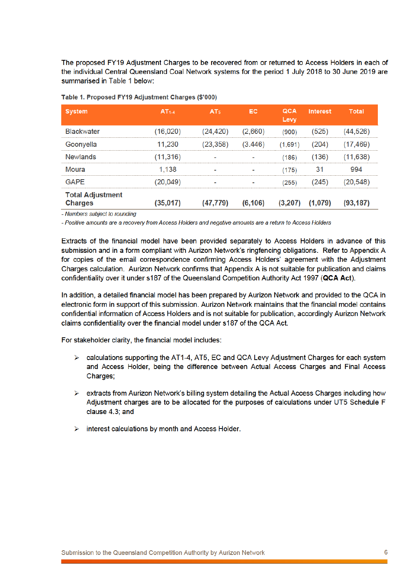The proposed FY19 Adjustment Charges to be recovered from or returned to Access Holders in each of the individual Central Queensland Coal Network systems for the period 1 July 2018 to 30 June 2019 are summarised in Table 1 below:

| <b>System</b>                             | AT <sub>1.4</sub> | AT <sub>5</sub> | EC       | QCA<br>Levy | <b>Interest</b>     | Total     |
|-------------------------------------------|-------------------|-----------------|----------|-------------|---------------------|-----------|
| <b>Blackwater</b>                         | (16, 020)         | (24,420)        | (2,660)  | (900)       | (525)               | (44,526)  |
| Goonyella                                 | 11,230            | (23.358)        | (3.446)  | (1.691)     | 204)                | (17.469)  |
| <b>Newlands</b>                           | (11, 316)         |                 |          | (186)       | (136)               | (11.638)  |
| Moura                                     | 1.138             |                 |          | (175)       | 31                  | 994       |
| <b>GAPF</b>                               | (20,049)          |                 |          | (255)       | 245)                | (20.548)  |
| <b>Total Adjustment</b><br><b>Charges</b> | (35,017)          | (47, 779)       | (6, 106) |             | $(3,207)$ $(1,079)$ | (93, 187) |

#### Table 1. Proposed FY19 Adiustment Charges (\$'000)

- Numbers subject to rounding

- Positive amounts are a recovery from Access Holders and negative amounts are a return to Access Holders

Extracts of the financial model have been provided separately to Access Holders in advance of this submission and in a form compliant with Aurizon Network's ringfencing obligations. Refer to Appendix A for copies of the email correspondence confirming Access Holders' agreement with the Adjustment Charges calculation. Aurizon Network confirms that Appendix A is not suitable for publication and claims confidentiality over it under s187 of the Queensland Competition Authority Act 1997 (QCA Act).

In addition, a detailed financial model has been prepared by Aurizon Network and provided to the QCA in electronic form in support of this submission. Aurizon Network maintains that the financial model contains confidential information of Access Holders and is not suitable for publication, accordingly Aurizon Network claims confidentiality over the financial model under s187 of the QCA Act.

For stakeholder clarity, the financial model includes:

- $\triangleright$  calculations supporting the AT1-4, AT5, EC and QCA Levy Adjustment Charges for each system and Access Holder, being the difference between Actual Access Charges and Final Access Charges;
- $\triangleright$  extracts from Aurizon Network's billing system detailing the Actual Access Charges including how Adjustment charges are to be allocated for the purposes of calculations under UT5 Schedule F clause 4.3; and
- $\triangleright$  interest calculations by month and Access Holder.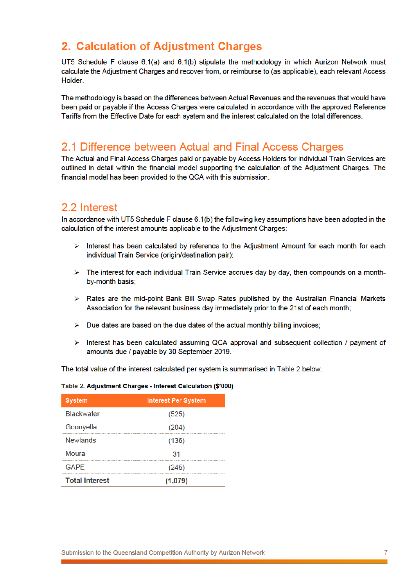### 2. Calculation of Adjustment Charges

UT5 Schedule F clause 6.1(a) and 6.1(b) stipulate the methodology in which Aurizon Network must calculate the Adjustment Charges and recover from, or reimburse to (as applicable), each relevant Access Holder.

The methodology is based on the differences between Actual Revenues and the revenues that would have been paid or payable if the Access Charges were calculated in accordance with the approved Reference Tariffs from the Effective Date for each system and the interest calculated on the total differences.

#### 2.1 Difference between Actual and Final Access Charges

The Actual and Final Access Charges paid or payable by Access Holders for individual Train Services are outlined in detail within the financial model supporting the calculation of the Adjustment Charges. The financial model has been provided to the QCA with this submission.

#### 2.2 Interest

In accordance with UT5 Schedule F clause 6.1(b) the following key assumptions have been adopted in the calculation of the interest amounts applicable to the Adjustment Charges:

- $\triangleright$  Interest has been calculated by reference to the Adjustment Amount for each month for each individual Train Service (origin/destination pair);
- $\triangleright$  The interest for each individual Train Service accrues day by day, then compounds on a monthby-month basis;
- > Rates are the mid-point Bank Bill Swap Rates published by the Australian Financial Markets Association for the relevant business day immediately prior to the 21st of each month:
- $\triangleright$  Due dates are based on the due dates of the actual monthly billing invoices;
- $\triangleright$  Interest has been calculated assuming QCA approval and subsequent collection / payment of amounts due / payable by 30 September 2019.

The total value of the interest calculated per system is summarised in Table 2 below.

| <b>System</b>         | <b>Interest Per System</b> |
|-----------------------|----------------------------|
| <b>Blackwater</b>     | (525)                      |
| Goonyella             | (204)                      |
| <b>Newlands</b>       | (136)                      |
| Moura                 |                            |
| <b>GAPF</b>           | (245)                      |
| <b>Total Interest</b> | (1,079)                    |

#### Table 2. Adjustment Charges - Interest Calculation (\$'000)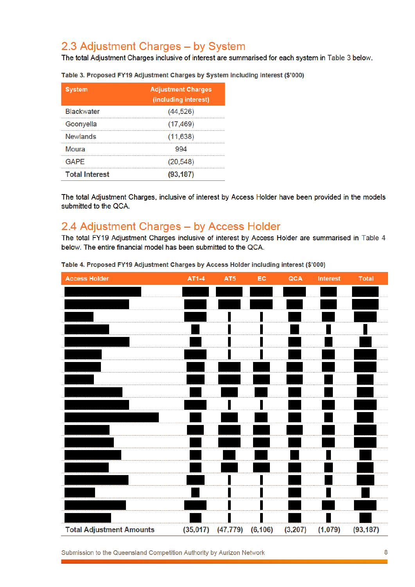## 2.3 Adjustment Charges - by System

The total Adjustment Charges inclusive of interest are summarised for each system in Table 3 below.

| <b>System</b>         | <b>Adjustment Charges</b><br>(including interest) |
|-----------------------|---------------------------------------------------|
| <b>Blackwater</b>     | (44, 526)                                         |
| Goonyella             | (17, 469)                                         |
| Newlands              | (11, 638)                                         |
| Moura                 |                                                   |
| GAPF                  | (20, 548)                                         |
| <b>Total Interest</b> | (93, 187)                                         |

Table 3. Proposed FY19 Adjustment Charges by System including interest (\$'000)

The total Adjustment Charges, inclusive of interest by Access Holder have been provided in the models submitted to the QCA.

### 2.4 Adjustment Charges - by Access Holder

The total FY19 Adjustment Charges inclusive of interest by Access Holder are summarised in Table 4 below. The entire financial model has been submitted to the QCA.



Table 4. Proposed FY19 Adjustment Charges by Access Holder including interest (\$'000)

Submission to the Queensland Competition Authority by Aurizon Network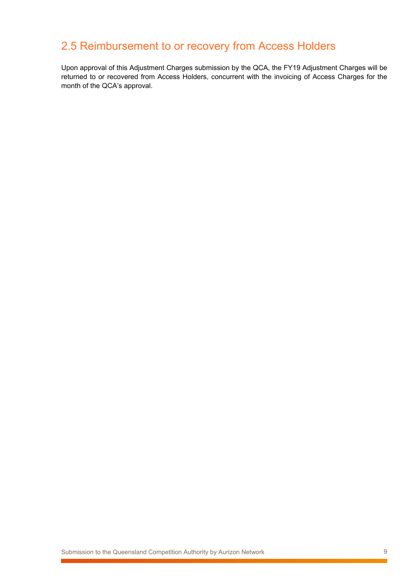# 2.5 Reimbursement to or recovery from Access Holders

Upon approval of this Adjustment Charges submission by the QCA, the FY19 Adjustment Charges will be returned to or recovered from Access Holders, concurrent with the invoicing of Access Charges for the month of the QCA's approval.